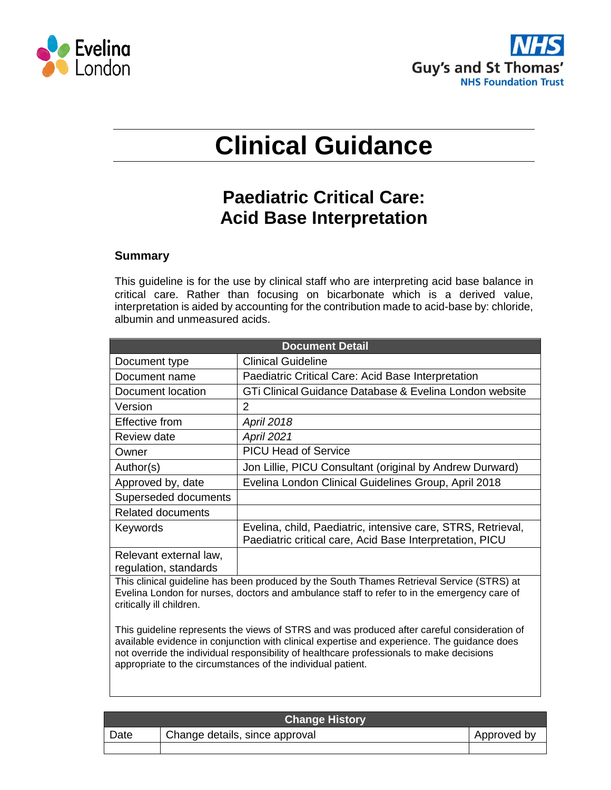



# **Clinical Guidance**

# **Paediatric Critical Care: Acid Base Interpretation**

### **Summary**

This guideline is for the use by clinical staff who are interpreting acid base balance in critical care. Rather than focusing on bicarbonate which is a derived value, interpretation is aided by accounting for the contribution made to acid-base by: chloride, albumin and unmeasured acids.

| <b>Document Detail</b>                                                                                                                                                                                                                                                                                                                                |                                                                                                                          |  |  |  |
|-------------------------------------------------------------------------------------------------------------------------------------------------------------------------------------------------------------------------------------------------------------------------------------------------------------------------------------------------------|--------------------------------------------------------------------------------------------------------------------------|--|--|--|
| Document type                                                                                                                                                                                                                                                                                                                                         | <b>Clinical Guideline</b>                                                                                                |  |  |  |
| Document name                                                                                                                                                                                                                                                                                                                                         | Paediatric Critical Care: Acid Base Interpretation                                                                       |  |  |  |
| Document location                                                                                                                                                                                                                                                                                                                                     | GTi Clinical Guidance Database & Evelina London website                                                                  |  |  |  |
| Version                                                                                                                                                                                                                                                                                                                                               | 2                                                                                                                        |  |  |  |
| Effective from                                                                                                                                                                                                                                                                                                                                        | <b>April 2018</b>                                                                                                        |  |  |  |
| Review date                                                                                                                                                                                                                                                                                                                                           | <b>April 2021</b>                                                                                                        |  |  |  |
| Owner                                                                                                                                                                                                                                                                                                                                                 | <b>PICU Head of Service</b>                                                                                              |  |  |  |
| Author(s)                                                                                                                                                                                                                                                                                                                                             | Jon Lillie, PICU Consultant (original by Andrew Durward)                                                                 |  |  |  |
| Approved by, date                                                                                                                                                                                                                                                                                                                                     | Evelina London Clinical Guidelines Group, April 2018                                                                     |  |  |  |
| Superseded documents                                                                                                                                                                                                                                                                                                                                  |                                                                                                                          |  |  |  |
| <b>Related documents</b>                                                                                                                                                                                                                                                                                                                              |                                                                                                                          |  |  |  |
| Keywords                                                                                                                                                                                                                                                                                                                                              | Evelina, child, Paediatric, intensive care, STRS, Retrieval,<br>Paediatric critical care, Acid Base Interpretation, PICU |  |  |  |
| Relevant external law,<br>regulation, standards                                                                                                                                                                                                                                                                                                       |                                                                                                                          |  |  |  |
| This clinical guideline has been produced by the South Thames Retrieval Service (STRS) at<br>Evelina London for nurses, doctors and ambulance staff to refer to in the emergency care of<br>critically ill children.                                                                                                                                  |                                                                                                                          |  |  |  |
| This guideline represents the views of STRS and was produced after careful consideration of<br>available evidence in conjunction with clinical expertise and experience. The guidance does<br>not override the individual responsibility of healthcare professionals to make decisions<br>appropriate to the circumstances of the individual patient. |                                                                                                                          |  |  |  |

| <b>Change History</b> |                                |             |  |  |
|-----------------------|--------------------------------|-------------|--|--|
| Date                  | Change details, since approval | Approved by |  |  |
|                       |                                |             |  |  |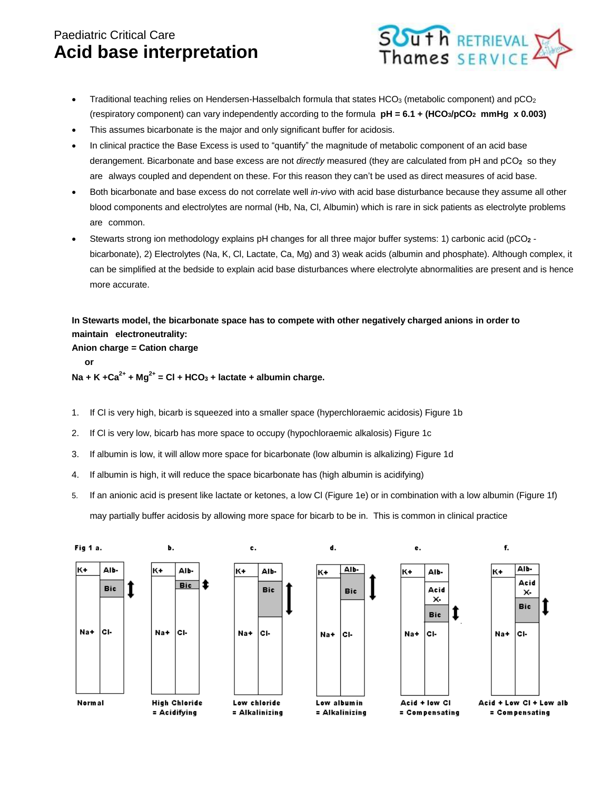# Paediatric Critical Care **Acid base interpretation**



- Traditional teaching relies on Hendersen-Hasselbalch formula that states HCO<sub>3</sub> (metabolic component) and  $pCO<sub>2</sub>$ (respiratory component) can vary independently according to the formula **pH = 6.1 + (HCO3/pCO2 mmHg x 0.003)**
- This assumes bicarbonate is the major and only significant buffer for acidosis.
- In clinical practice the Base Excess is used to "quantify" the magnitude of metabolic component of an acid base derangement. Bicarbonate and base excess are not *directly* measured (they are calculated from pH and pCO**2** so they are always coupled and dependent on these. For this reason they can't be used as direct measures of acid base.
- Both bicarbonate and base excess do not correlate well *in-vivo* with acid base disturbance because they assume all other blood components and electrolytes are normal (Hb, Na, Cl, Albumin) which is rare in sick patients as electrolyte problems are common.
- Stewarts strong ion methodology explains pH changes for all three major buffer systems: 1) carbonic acid (pCO**<sup>2</sup>** bicarbonate), 2) Electrolytes (Na, K, Cl, Lactate, Ca, Mg) and 3) weak acids (albumin and phosphate). Although complex, it can be simplified at the bedside to explain acid base disturbances where electrolyte abnormalities are present and is hence more accurate.

**In Stewarts model, the bicarbonate space has to compete with other negatively charged anions in order to maintain electroneutrality:**

#### **Anion charge = Cation charge**

#### **or**

**Na + K +Ca2+ + Mg2+ = Cl + HCO<sup>3</sup> + lactate + albumin charge.**

- 1. If Cl is very high, bicarb is squeezed into a smaller space (hyperchloraemic acidosis) Figure 1b
- 2. If Cl is very low, bicarb has more space to occupy (hypochloraemic alkalosis) Figure 1c
- 3. If albumin is low, it will allow more space for bicarbonate (low albumin is alkalizing) Figure 1d
- 4. If albumin is high, it will reduce the space bicarbonate has (high albumin is acidifying)
- 5. If an anionic acid is present like lactate or ketones, a low Cl (Figure 1e) or in combination with a low albumin (Figure 1f) may partially buffer acidosis by allowing more space for bicarb to be in. This is common in clinical practice

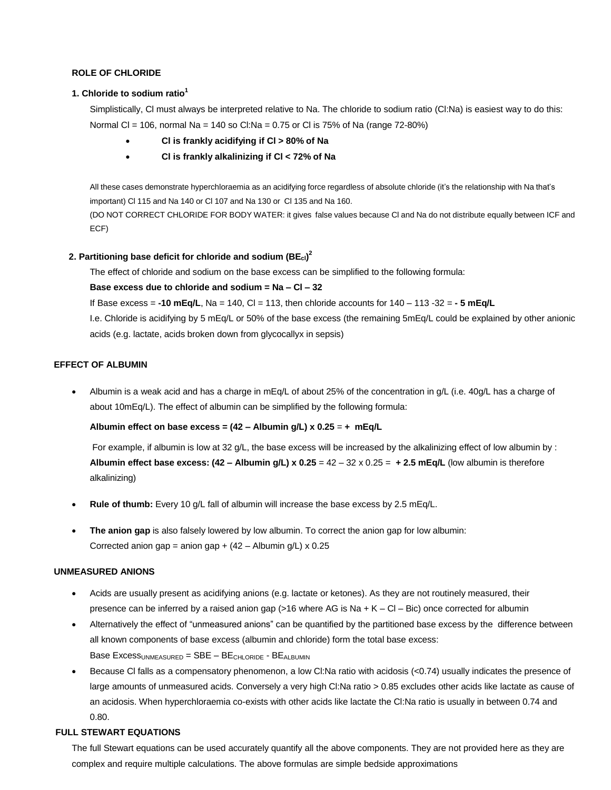#### **ROLE OF CHLORIDE**

#### **1. Chloride to sodium ratio<sup>1</sup>**

Simplistically, Cl must always be interpreted relative to Na. The chloride to sodium ratio (Cl:Na) is easiest way to do this: Normal CI = 106, normal Na = 140 so CI:Na = 0.75 or CI is 75% of Na (range 72-80%)

- **Cl is frankly acidifying if Cl > 80% of Na**
- **Cl is frankly alkalinizing if Cl < 72% of Na**

All these cases demonstrate hyperchloraemia as an acidifying force regardless of absolute chloride (it's the relationship with Na that's important) Cl 115 and Na 140 or Cl 107 and Na 130 or Cl 135 and Na 160.

(DO NOT CORRECT CHLORIDE FOR BODY WATER: it gives false values because Cl and Na do not distribute equally between ICF and ECF)

#### **2. Partitioning base deficit for chloride and sodium (BEcl) 2**

The effect of chloride and sodium on the base excess can be simplified to the following formula:

#### **Base excess due to chloride and sodium = Na – Cl – 32**

If Base excess = **-10 mEq/L**, Na = 140, Cl = 113, then chloride accounts for 140 – 113 -32 = **- 5 mEq/L**

I.e. Chloride is acidifying by 5 mEq/L or 50% of the base excess (the remaining 5mEq/L could be explained by other anionic acids (e.g. lactate, acids broken down from glycocallyx in sepsis)

#### **EFFECT OF ALBUMIN**

 Albumin is a weak acid and has a charge in mEq/L of about 25% of the concentration in g/L (i.e. 40g/L has a charge of about 10mEq/L). The effect of albumin can be simplified by the following formula:

#### **Albumin effect on base excess = (42 – Albumin g/L) x 0.25** = **+ mEq/L**

For example, if albumin is low at 32 g/L, the base excess will be increased by the alkalinizing effect of low albumin by: **Albumin effect base excess: (42 – Albumin g/L) x 0.25** = 42 – 32 x 0.25 = **+ 2.5 mEq/L** (low albumin is therefore alkalinizing)

- **Rule of thumb:** Every 10 g/L fall of albumin will increase the base excess by 2.5 mEq/L.
- **The anion gap** is also falsely lowered by low albumin. To correct the anion gap for low albumin: Corrected anion gap = anion gap +  $(42 -$  Albumin g/L) x 0.25

#### **UNMEASURED ANIONS**

- Acids are usually present as acidifying anions (e.g. lactate or ketones). As they are not routinely measured, their presence can be inferred by a raised anion gap (>16 where AG is Na + K – Cl – Bic) once corrected for albumin
- Alternatively the effect of "unmeasured anions" can be quantified by the partitioned base excess by the difference between all known components of base excess (albumin and chloride) form the total base excess:  $Base Excess$ <sub>UNMEASURED</sub> =  $SBE - BE$ <sub>CHLORIDE</sub> -  $BE$ <sub>ALBUMIN</sub>
- Because Cl falls as a compensatory phenomenon, a low Cl:Na ratio with acidosis (<0.74) usually indicates the presence of large amounts of unmeasured acids. Conversely a very high Cl:Na ratio > 0.85 excludes other acids like lactate as cause of an acidosis. When hyperchloraemia co-exists with other acids like lactate the Cl:Na ratio is usually in between 0.74 and 0.80.

#### **FULL STEWART EQUATIONS**

The full Stewart equations can be used accurately quantify all the above components. They are not provided here as they are complex and require multiple calculations. The above formulas are simple bedside approximations